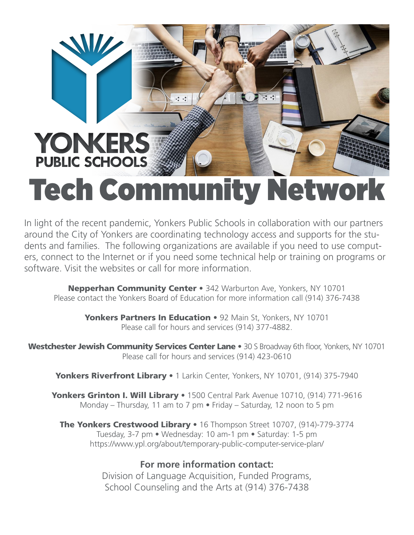

In light of the recent pandemic, Yonkers Public Schools in collaboration with our partners around the City of Yonkers are coordinating technology access and supports for the students and families. The following organizations are available if you need to use computers, connect to the Internet or if you need some technical help or training on programs or software. Visit the websites or call for more information.

**Nepperhan Community Center •** 342 Warburton Ave, Yonkers, NY 10701 Please contact the Yonkers Board of Education for more information call (914) 376-7438

Yonkers Partners In Education • 92 Main St, Yonkers, NY 10701 Please call for hours and services (914) 377-4882.

Westchester Jewish Community Services Center Lane • 30 S Broadway 6th floor, Yonkers, NY 10701 Please call for hours and services (914) 423-0610

Yonkers Riverfront Library • 1 Larkin Center, Yonkers, NY 10701, (914) 375-7940

Yonkers Grinton I. Will Library • 1500 Central Park Avenue 10710, (914) 771-9616 Monday – Thursday, 11 am to 7 pm • Friday – Saturday, 12 noon to 5 pm

The Yonkers Crestwood Library • 16 Thompson Street 10707, (914)-779-3774 Tuesday, 3-7 pm • Wednesday: 10 am-1 pm • Saturday: 1-5 pm https://www.ypl.org/about/temporary-public-computer-service-plan/

## **For more information contact:**

Division of Language Acquisition, Funded Programs, School Counseling and the Arts at (914) 376-7438